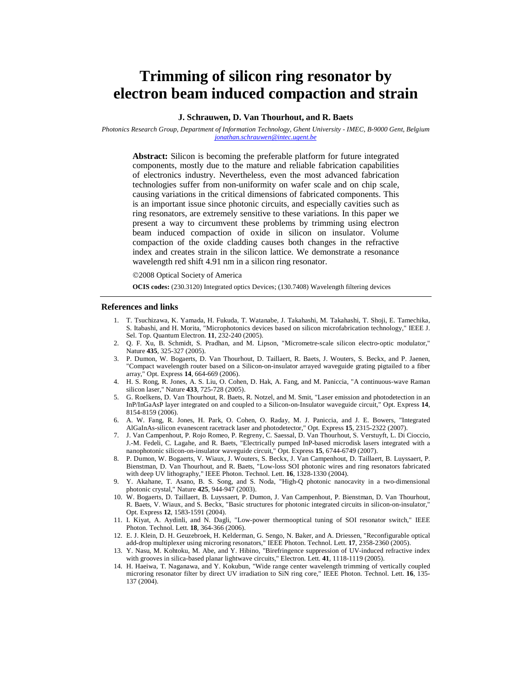# **Trimming of silicon ring resonator by electron beam induced compaction and strain**

## **J. Schrauwen, D. Van Thourhout, and R. Baets**

*Photonics Research Group, Department of Information Technology, Ghent University - IMEC, B-9000 Gent, Belgium jonathan.schrauwen@intec.ugent.be*

**Abstract:** Silicon is becoming the preferable platform for future integrated components, mostly due to the mature and reliable fabrication capabilities of electronics industry. Nevertheless, even the most advanced fabrication technologies suffer from non-uniformity on wafer scale and on chip scale, causing variations in the critical dimensions of fabricated components. This is an important issue since photonic circuits, and especially cavities such as ring resonators, are extremely sensitive to these variations. In this paper we present a way to circumvent these problems by trimming using electron beam induced compaction of oxide in silicon on insulator. Volume compaction of the oxide cladding causes both changes in the refractive index and creates strain in the silicon lattice. We demonstrate a resonance wavelength red shift 4.91 nm in a silicon ring resonator.

©2008 Optical Society of America

**OCIS codes:** (230.3120) Integrated optics Devices; (130.7408) Wavelength filtering devices

#### **References and links**

- 1. T. Tsuchizawa, K. Yamada, H. Fukuda, T. Watanabe, J. Takahashi, M. Takahashi, T. Shoji, E. Tamechika, S. Itabashi, and H. Morita, "Microphotonics devices based on silicon microfabrication technology," IEEE J. Sel. Top. Quantum Electron. **11**, 232-240 (2005).
- 2. Q. F. Xu, B. Schmidt, S. Pradhan, and M. Lipson, "Micrometre-scale silicon electro-optic modulator," Nature **435**, 325-327 (2005).
- 3. P. Dumon, W. Bogaerts, D. Van Thourhout, D. Taillaert, R. Baets, J. Wouters, S. Beckx, and P. Jaenen, "Compact wavelength router based on a Silicon-on-insulator arrayed waveguide grating pigtailed to a fiber array," Opt. Express **14**, 664-669 (2006).
- 4. H. S. Rong, R. Jones, A. S. Liu, O. Cohen, D. Hak, A. Fang, and M. Paniccia, "A continuous-wave Raman silicon laser," Nature **433**, 725-728 (2005).
- 5. G. Roelkens, D. Van Thourhout, R. Baets, R. Notzel, and M. Smit, "Laser emission and photodetection in an InP/InGaAsP layer integrated on and coupled to a Silicon-on-Insulator waveguide circuit," Opt. Express **14**, 8154-8159 (2006).
- 6. A. W. Fang, R. Jones, H. Park, O. Cohen, O. Raday, M. J. Paniccia, and J. E. Bowers, "Integrated AlGaInAs-silicon evanescent racetrack laser and photodetector," Opt. Express **15**, 2315-2322 (2007).
- 7. J. Van Campenhout, P. Rojo Romeo, P. Regreny, C. Saessal, D. Van Thourhout, S. Verstuyft, L. Di Cioccio, J.-M. Fedeli, C. Lagahe, and R. Baets, "Electrically pumped InP-based microdisk lasers integrated with a nanophotonic silicon-on-insulator waveguide circuit," Opt. Express **15**, 6744-6749 (2007).
- 8. P. Dumon, W. Bogaerts, V. Wiaux, J. Wouters, S. Beckx, J. Van Campenhout, D. Taillaert, B. Luyssaert, P. Bienstman, D. Van Thourhout, and R. Baets, "Low-loss SOI photonic wires and ring resonators fabricated with deep UV lithography," IEEE Photon. Technol. Lett. **16**, 1328-1330 (2004).
- 9. Y. Akahane, T. Asano, B. S. Song, and S. Noda, "High-Q photonic nanocavity in a two-dimensional photonic crystal," Nature **425**, 944-947 (2003).
- 10. W. Bogaerts, D. Taillaert, B. Luyssaert, P. Dumon, J. Van Campenhout, P. Bienstman, D. Van Thourhout, R. Baets, V. Wiaux, and S. Beckx, "Basic structures for photonic integrated circuits in silicon-on-insulator," Opt. Express **12**, 1583-1591 (2004).
- 11. I. Kiyat, A. Aydinli, and N. Dagli, "Low-power thermooptical tuning of SOI resonator switch," IEEE Photon. Technol. Lett. **18**, 364-366 (2006).
- 12. E. J. Klein, D. H. Geuzebroek, H. Kelderman, G. Sengo, N. Baker, and A. Driessen, "Reconfigurable optical add-drop multiplexer using microring resonators," IEEE Photon. Technol. Lett. **17**, 2358-2360 (2005).
- 13. Y. Nasu, M. Kohtoku, M. Abe, and Y. Hibino, "Birefringence suppression of UV-induced refractive index with grooves in silica-based planar lightwave circuits," Electron. Lett. **41**, 1118-1119 (2005).
- 14. H. Haeiwa, T. Naganawa, and Y. Kokubun, "Wide range center wavelength trimming of vertically coupled microring resonator filter by direct UV irradiation to SiN ring core," IEEE Photon. Technol. Lett. **16**, 135- 137 (2004).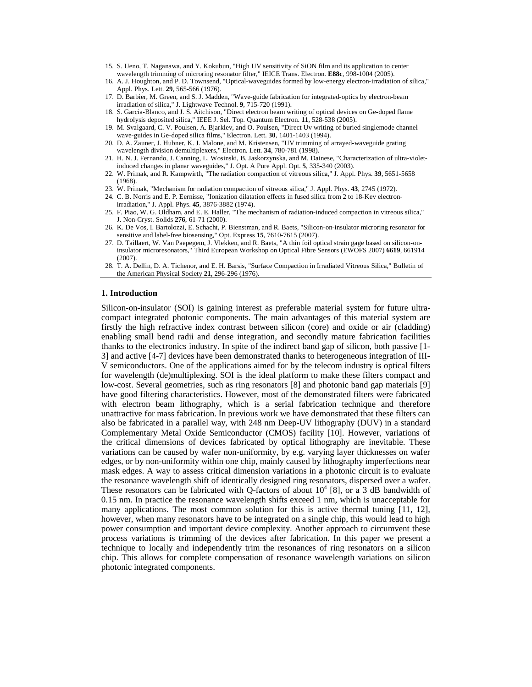- 15. S. Ueno, T. Naganawa, and Y. Kokubun, "High UV sensitivity of SiON film and its application to center wavelength trimming of microring resonator filter," IEICE Trans. Electron. **E88c**, 998-1004 (2005).
- 16. A. J. Houghton, and P. D. Townsend, "Optical-waveguides formed by low-energy electron-irradiation of silica," Appl. Phys. Lett. **29**, 565-566 (1976).
- 17. D. Barbier, M. Green, and S. J. Madden, "Wave-guide fabrication for integrated-optics by electron-beam irradiation of silica," J. Lightwave Technol. **9**, 715-720 (1991).
- 18. S. Garcia-Blanco, and J. S. Aitchison, "Direct electron beam writing of optical devices on Ge-doped flame hydrolysis deposited silica," IEEE J. Sel. Top. Quantum Electron. **11**, 528-538 (2005).
- 19. M. Svalgaard, C. V. Poulsen, A. Bjarklev, and O. Poulsen, "Direct Uv writing of buried singlemode channel wave-guides in Ge-doped silica films," Electron. Lett. **30**, 1401-1403 (1994).
- 20. D. A. Zauner, J. Hubner, K. J. Malone, and M. Kristensen, "UV trimming of arrayed-waveguide grating wavelength division demultiplexers," Electron. Lett. **34**, 780-781 (1998).
- 21. H. N. J. Fernando, J. Canning, L. Wosinski, B. Jaskorzynska, and M. Dainese, "Characterization of ultra-violetinduced changes in planar waveguides," J. Opt. A Pure Appl. Opt. **5**, 335-340 (2003).
- 22. W. Primak, and R. Kampwirth, "The radiation compaction of vitreous silica," J. Appl. Phys. **39**, 5651-5658 (1968).
- 23. W. Primak, "Mechanism for radiation compaction of vitreous silica," J. Appl. Phys. **43**, 2745 (1972).
- 24. C. B. Norris and E. P. Eernisse, "Ionization dilatation effects in fused silica from 2 to 18-Kev electronirradiation," J. Appl. Phys. **45**, 3876-3882 (1974).
- 25. F. Piao, W. G. Oldham, and E. E. Haller, "The mechanism of radiation-induced compaction in vitreous silica," J. Non-Cryst. Solids **276**, 61-71 (2000).
- 26. K. De Vos, I. Bartolozzi, E. Schacht, P. Bienstman, and R. Baets, "Silicon-on-insulator microring resonator for sensitive and label-free biosensing," Opt. Express **15**, 7610-7615 (2007).
- 27. D. Taillaert, W. Van Paepegem, J. Vlekken, and R. Baets, "A thin foil optical strain gage based on silicon-oninsulator microresonators," Third European Workshop on Optical Fibre Sensors (EWOFS 2007) **6619**, 661914 (2007).
- 28. T. A. Dellin, D. A. Tichenor, and E. H. Barsis, "Surface Compaction in Irradiated Vitreous Silica," Bulletin of the American Physical Society **21**, 296-296 (1976).

## **1. Introduction**

Silicon-on-insulator (SOI) is gaining interest as preferable material system for future ultracompact integrated photonic components. The main advantages of this material system are firstly the high refractive index contrast between silicon (core) and oxide or air (cladding) enabling small bend radii and dense integration, and secondly mature fabrication facilities thanks to the electronics industry. In spite of the indirect band gap of silicon, both passive [1- 3] and active [4-7] devices have been demonstrated thanks to heterogeneous integration of III-V semiconductors. One of the applications aimed for by the telecom industry is optical filters for wavelength (de)multiplexing. SOI is the ideal platform to make these filters compact and low-cost. Several geometries, such as ring resonators [8] and photonic band gap materials [9] have good filtering characteristics. However, most of the demonstrated filters were fabricated with electron beam lithography, which is a serial fabrication technique and therefore unattractive for mass fabrication. In previous work we have demonstrated that these filters can also be fabricated in a parallel way, with 248 nm Deep-UV lithography (DUV) in a standard Complementary Metal Oxide Semiconductor (CMOS) facility [10]. However, variations of the critical dimensions of devices fabricated by optical lithography are inevitable. These variations can be caused by wafer non-uniformity, by e.g. varying layer thicknesses on wafer edges, or by non-uniformity within one chip, mainly caused by lithography imperfections near mask edges. A way to assess critical dimension variations in a photonic circuit is to evaluate the resonance wavelength shift of identically designed ring resonators, dispersed over a wafer. These resonators can be fabricated with Q-factors of about  $10^4$  [8], or a 3 dB bandwidth of 0.15 nm. In practice the resonance wavelength shifts exceed 1 nm, which is unacceptable for many applications. The most common solution for this is active thermal tuning [11, 12], however, when many resonators have to be integrated on a single chip, this would lead to high power consumption and important device complexity. Another approach to circumvent these process variations is trimming of the devices after fabrication. In this paper we present a technique to locally and independently trim the resonances of ring resonators on a silicon chip. This allows for complete compensation of resonance wavelength variations on silicon photonic integrated components.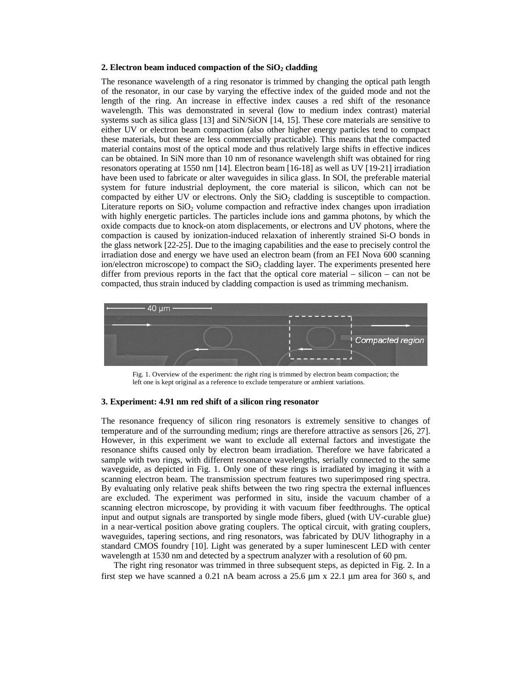## 2. Electron beam induced compaction of the SiO<sub>2</sub> cladding

The resonance wavelength of a ring resonator is trimmed by changing the optical path length of the resonator, in our case by varying the effective index of the guided mode and not the length of the ring. An increase in effective index causes a red shift of the resonance wavelength. This was demonstrated in several (low to medium index contrast) material systems such as silica glass [13] and SiN/SiON [14, 15]. These core materials are sensitive to either UV or electron beam compaction (also other higher energy particles tend to compact these materials, but these are less commercially practicable). This means that the compacted material contains most of the optical mode and thus relatively large shifts in effective indices can be obtained. In SiN more than 10 nm of resonance wavelength shift was obtained for ring resonators operating at 1550 nm [14]. Electron beam [16-18] as well as UV [19-21] irradiation have been used to fabricate or alter waveguides in silica glass. In SOI, the preferable material system for future industrial deployment, the core material is silicon, which can not be compacted by either UV or electrons. Only the  $SiO<sub>2</sub>$  cladding is susceptible to compaction. Literature reports on  $SiO<sub>2</sub>$  volume compaction and refractive index changes upon irradiation with highly energetic particles. The particles include ions and gamma photons, by which the oxide compacts due to knock-on atom displacements, or electrons and UV photons, where the compaction is caused by ionization-induced relaxation of inherently strained Si-O bonds in the glass network [22-25]. Due to the imaging capabilities and the ease to precisely control the irradiation dose and energy we have used an electron beam (from an FEI Nova 600 scanning ion/electron microscope) to compact the  $SiO<sub>2</sub>$  cladding layer. The experiments presented here differ from previous reports in the fact that the optical core material – silicon – can not be compacted, thus strain induced by cladding compaction is used as trimming mechanism.



Fig. 1. Overview of the experiment: the right ring is trimmed by electron beam compaction; the left one is kept original as a reference to exclude temperature or ambient variations.

## **3. Experiment: 4.91 nm red shift of a silicon ring resonator**

The resonance frequency of silicon ring resonators is extremely sensitive to changes of temperature and of the surrounding medium; rings are therefore attractive as sensors [26, 27]. However, in this experiment we want to exclude all external factors and investigate the resonance shifts caused only by electron beam irradiation. Therefore we have fabricated a sample with two rings, with different resonance wavelengths, serially connected to the same waveguide, as depicted in Fig. 1. Only one of these rings is irradiated by imaging it with a scanning electron beam. The transmission spectrum features two superimposed ring spectra. By evaluating only relative peak shifts between the two ring spectra the external influences are excluded. The experiment was performed in situ, inside the vacuum chamber of a scanning electron microscope, by providing it with vacuum fiber feedthroughs. The optical input and output signals are transported by single mode fibers, glued (with UV-curable glue) in a near-vertical position above grating couplers. The optical circuit, with grating couplers, waveguides, tapering sections, and ring resonators, was fabricated by DUV lithography in a standard CMOS foundry [10]. Light was generated by a super luminescent LED with center wavelength at 1530 nm and detected by a spectrum analyzer with a resolution of 60 pm.

The right ring resonator was trimmed in three subsequent steps, as depicted in Fig. 2. In a first step we have scanned a 0.21 nA beam across a 25.6 μm x 22.1 μm area for 360 s, and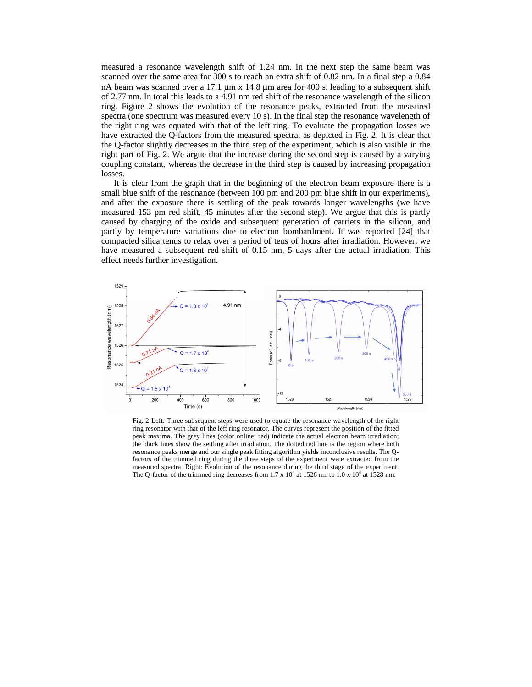measured a resonance wavelength shift of 1.24 nm. In the next step the same beam was scanned over the same area for 300 s to reach an extra shift of 0.82 nm. In a final step a 0.84 nA beam was scanned over a 17.1 μm x 14.8 μm area for 400 s, leading to a subsequent shift of 2.77 nm. In total this leads to a 4.91 nm red shift of the resonance wavelength of the silicon ring. Figure 2 shows the evolution of the resonance peaks, extracted from the measured spectra (one spectrum was measured every 10 s). In the final step the resonance wavelength of the right ring was equated with that of the left ring. To evaluate the propagation losses we have extracted the Q-factors from the measured spectra, as depicted in Fig. 2. It is clear that the Q-factor slightly decreases in the third step of the experiment, which is also visible in the right part of Fig. 2. We argue that the increase during the second step is caused by a varying coupling constant, whereas the decrease in the third step is caused by increasing propagation losses.

It is clear from the graph that in the beginning of the electron beam exposure there is a small blue shift of the resonance (between 100 pm and 200 pm blue shift in our experiments), and after the exposure there is settling of the peak towards longer wavelengths (we have measured 153 pm red shift, 45 minutes after the second step). We argue that this is partly caused by charging of the oxide and subsequent generation of carriers in the silicon, and partly by temperature variations due to electron bombardment. It was reported [24] that compacted silica tends to relax over a period of tens of hours after irradiation. However, we have measured a subsequent red shift of 0.15 nm, 5 days after the actual irradiation. This effect needs further investigation.



Fig. 2 Left: Three subsequent steps were used to equate the resonance wavelength of the right ring resonator with that of the left ring resonator. The curves represent the position of the fitted peak maxima. The grey lines (color online: red) indicate the actual electron beam irradiation; the black lines show the settling after irradiation. The dotted red line is the region where both resonance peaks merge and our single peak fitting algorithm yields inconclusive results. The Qfactors of the trimmed ring during the three steps of the experiment were extracted from the measured spectra. Right: Evolution of the resonance during the third stage of the experiment. The Q-factor of the trimmed ring decreases from 1.7 x  $10^4$  at 1526 nm to 1.0 x  $10^4$  at 1528 nm.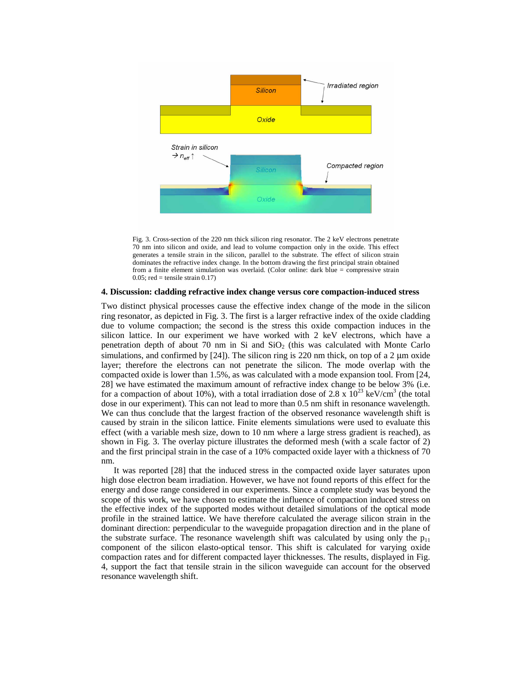

Fig. 3. Cross-section of the 220 nm thick silicon ring resonator. The 2 keV electrons penetrate 70 nm into silicon and oxide, and lead to volume compaction only in the oxide. This effect generates a tensile strain in the silicon, parallel to the substrate. The effect of silicon strain dominates the refractive index change. In the bottom drawing the first principal strain obtained from a finite element simulation was overlaid. (Color online: dark blue = compressive strain  $0.05$ ; red = tensile strain  $0.17$ )

## **4. Discussion: cladding refractive index change versus core compaction-induced stress**

Two distinct physical processes cause the effective index change of the mode in the silicon ring resonator, as depicted in Fig. 3. The first is a larger refractive index of the oxide cladding due to volume compaction; the second is the stress this oxide compaction induces in the silicon lattice. In our experiment we have worked with 2 keV electrons, which have a penetration depth of about 70 nm in Si and SiO2 (this was calculated with Monte Carlo simulations, and confirmed by  $[24]$ . The silicon ring is 220 nm thick, on top of a 2  $\mu$ m oxide layer; therefore the electrons can not penetrate the silicon. The mode overlap with the compacted oxide is lower than 1.5%, as was calculated with a mode expansion tool. From [24, 28] we have estimated the maximum amount of refractive index change to be below 3% (i.e. for a compaction of about 10%), with a total irradiation dose of 2.8 x  $10^{23}$  keV/cm<sup>3</sup> (the total dose in our experiment). This can not lead to more than 0.5 nm shift in resonance wavelength. We can thus conclude that the largest fraction of the observed resonance wavelength shift is caused by strain in the silicon lattice. Finite elements simulations were used to evaluate this effect (with a variable mesh size, down to 10 nm where a large stress gradient is reached), as shown in Fig. 3. The overlay picture illustrates the deformed mesh (with a scale factor of 2) and the first principal strain in the case of a 10% compacted oxide layer with a thickness of 70 nm.

It was reported [28] that the induced stress in the compacted oxide layer saturates upon high dose electron beam irradiation. However, we have not found reports of this effect for the energy and dose range considered in our experiments. Since a complete study was beyond the scope of this work, we have chosen to estimate the influence of compaction induced stress on the effective index of the supported modes without detailed simulations of the optical mode profile in the strained lattice. We have therefore calculated the average silicon strain in the dominant direction: perpendicular to the waveguide propagation direction and in the plane of the substrate surface. The resonance wavelength shift was calculated by using only the  $p_{11}$ component of the silicon elasto-optical tensor. This shift is calculated for varying oxide compaction rates and for different compacted layer thicknesses. The results, displayed in Fig. 4, support the fact that tensile strain in the silicon waveguide can account for the observed resonance wavelength shift.